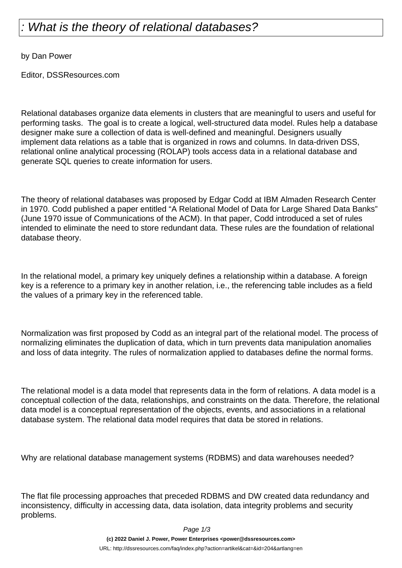## What is the theory of relational databases?

by Dan Power

Editor, DSSResources.com

Relational databases organize data elements in clusters that are meaningful to users and useful for performing tasks. The goal is to create a logical, well-structured data model. Rules help a database designer make sure a collection of data is well-defined and meaningful. Designers usually implement data relations as a table that is organized in rows and columns. In data-driven DSS, relational online analytical processing (ROLAP) tools access data in a relational database and generate SQL queries to create information for users.

The theory of relational databases was proposed by Edgar Codd at IBM Almaden Research Center in 1970. Codd published a paper entitled "A Relational Model of Data for Large Shared Data Banks" (June 1970 issue of Communications of the ACM). In that paper, Codd introduced a set of rules intended to eliminate the need to store redundant data. These rules are the foundation of relational database theory.

In the relational model, a primary key uniquely defines a relationship within a database. A foreign key is a reference to a primary key in another relation, i.e., the referencing table includes as a field the values of a primary key in the referenced table.

Normalization was first proposed by Codd as an integral part of the relational model. The process of normalizing eliminates the duplication of data, which in turn prevents data manipulation anomalies and loss of data integrity. The rules of normalization applied to databases define the normal forms.

The relational model is a data model that represents data in the form of relations. A data model is a conceptual collection of the data, relationships, and constraints on the data. Therefore, the relational data model is a conceptual representation of the objects, events, and associations in a relational database system. The relational data model requires that data be stored in relations.

Why are relational database management systems (RDBMS) and data warehouses needed?

The flat file processing approaches that preceded RDBMS and DW created data redundancy and inconsistency, difficulty in accessing data, data isolation, data integrity problems and security problems.

Page 1/3

**(c) 2022 Daniel J. Power, Power Enterprises <power@dssresources.com>**

URL: http://dssresources.com/faq/index.php?action=artikel&cat=&id=204&artlang=en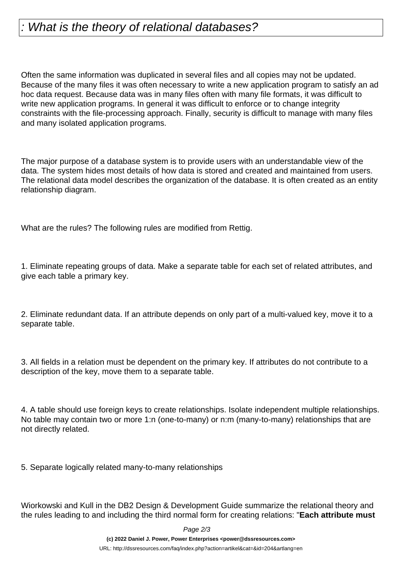## What is the theory of relational databases?

Often the same information was duplicated in several files and all copies may not be updated. Because of the many files it was often necessary to write a new application program to satisfy an ad hoc data request. Because data was in many files often with many file formats, it was difficult to write new application programs. In general it was difficult to enforce or to change integrity constraints with the file-processing approach. Finally, security is difficult to manage with many files and many isolated application programs.

The major purpose of a database system is to provide users with an understandable view of the data. The system hides most details of how data is stored and created and maintained from users. The relational data model describes the organization of the database. It is often created as an entity relationship diagram.

What are the rules? The following rules are modified from Rettig.

1. Eliminate repeating groups of data. Make a separate table for each set of related attributes, and give each table a primary key.

2. Eliminate redundant data. If an attribute depends on only part of a multi-valued key, move it to a separate table.

3. All fields in a relation must be dependent on the primary key. If attributes do not contribute to a description of the key, move them to a separate table.

4. A table should use foreign keys to create relationships. Isolate independent multiple relationships. No table may contain two or more 1:n (one-to-many) or n:m (many-to-many) relationships that are not directly related.

5. Separate logically related many-to-many relationships

Wiorkowski and Kull in the DB2 Design & Development Guide summarize the relational theory and the rules leading to and including the third normal form for creating relations: "**Each attribute must**

Page 2/3

**(c) 2022 Daniel J. Power, Power Enterprises <power@dssresources.com>**

URL: http://dssresources.com/faq/index.php?action=artikel&cat=&id=204&artlang=en